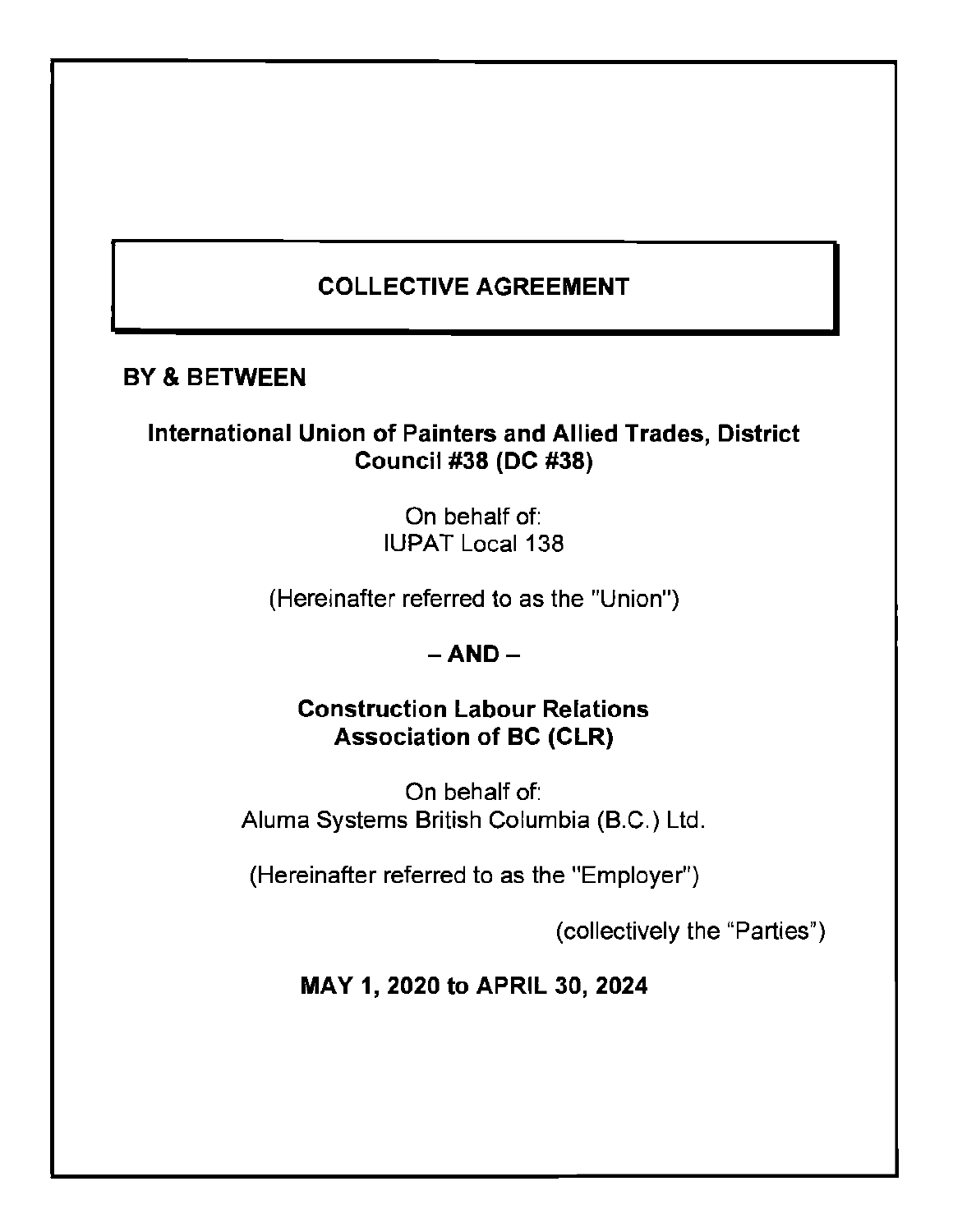# **COLLECTIVE AGREEMENT**

# **BY** & **BETWEEN**

# **International Union of Painters and Allied Trades, District Council #38 (DC #38)**

On behalf of: IUPAT Local 138

(Hereinafter referred to as the "Union")

# **-AND-**

# **Construction Labour Relations Association of BC (CLR)**

On behalf of: Aluma Systems British Columbia (B.C.) Ltd.

(Hereinafter referred to as the "Employer")

(collectively the "Parties")

**MAY 1, 2020 to APRIL 30, 2024**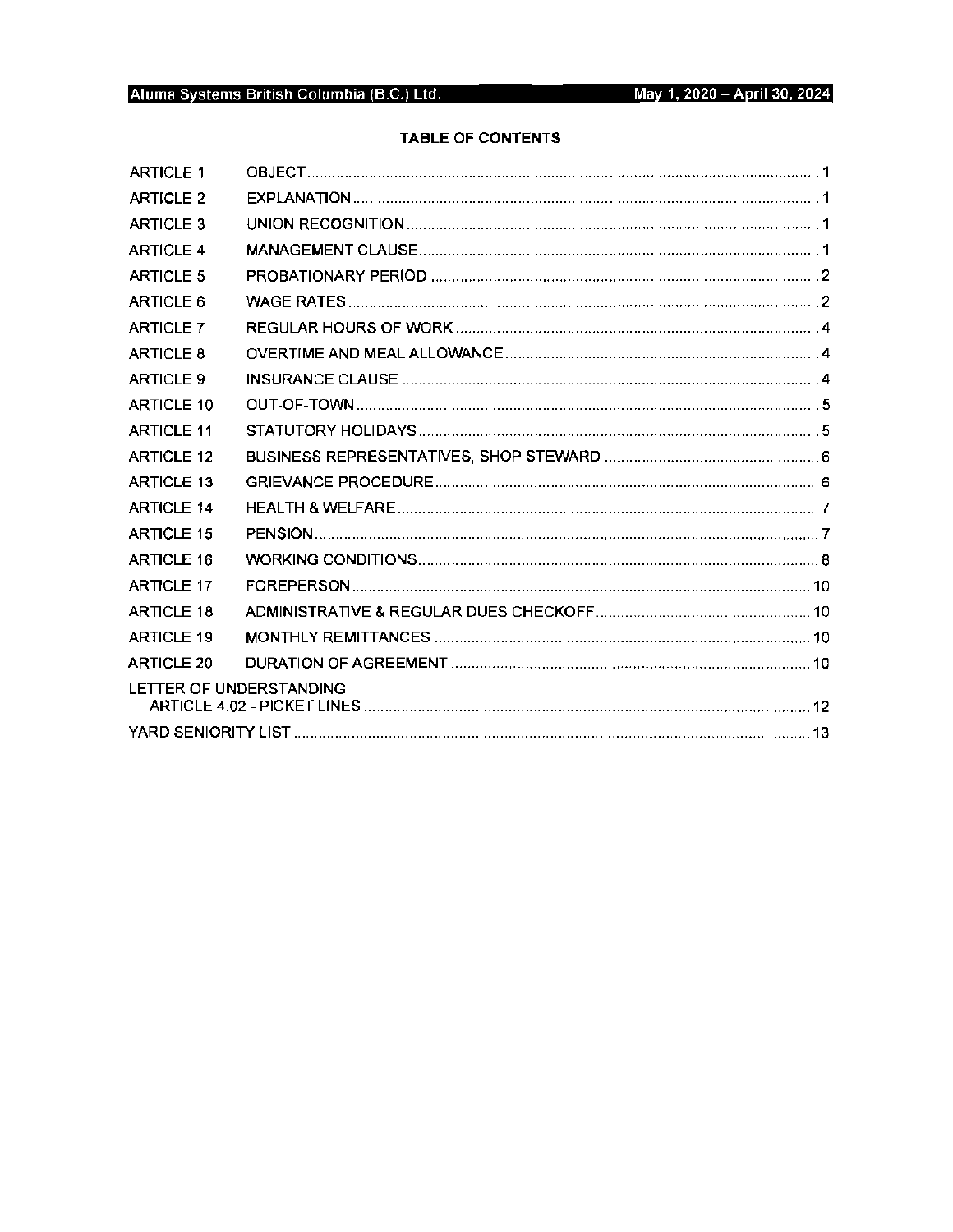# Aluma Systems British Columbia (B.C.) Ltd.

# **TABLE OF CONTENTS**

| <b>ARTICLE 1</b>        |  |  |  |  |
|-------------------------|--|--|--|--|
| <b>ARTICLE 2</b>        |  |  |  |  |
| <b>ARTICLE 3</b>        |  |  |  |  |
| <b>ARTICLE 4</b>        |  |  |  |  |
| <b>ARTICLE 5</b>        |  |  |  |  |
| ARTICLE 6               |  |  |  |  |
| <b>ARTICLE 7</b>        |  |  |  |  |
| ARTICLE 8               |  |  |  |  |
| <b>ARTICLE 9</b>        |  |  |  |  |
| ARTICLE 10              |  |  |  |  |
| <b>ARTICLE 11</b>       |  |  |  |  |
| <b>ARTICLE 12</b>       |  |  |  |  |
| <b>ARTICLE 13</b>       |  |  |  |  |
| <b>ARTICLE 14</b>       |  |  |  |  |
| <b>ARTICLE 15</b>       |  |  |  |  |
| <b>ARTICLE 16</b>       |  |  |  |  |
| <b>ARTICLE 17</b>       |  |  |  |  |
| <b>ARTICLE 18</b>       |  |  |  |  |
| <b>ARTICLE 19</b>       |  |  |  |  |
| <b>ARTICLE 20</b>       |  |  |  |  |
| LETTER OF UNDERSTANDING |  |  |  |  |
|                         |  |  |  |  |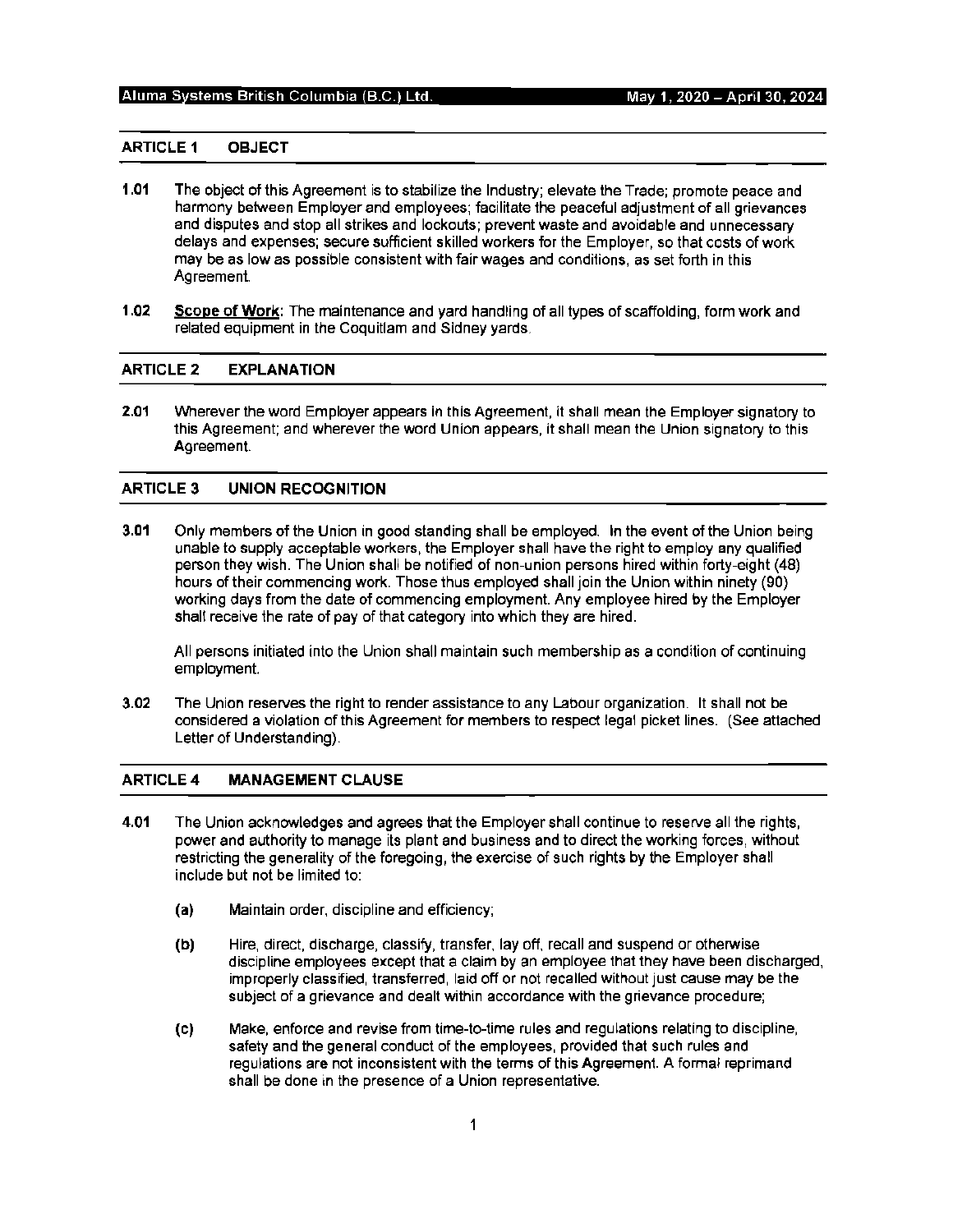#### **ARTICLE 1 OBJECT**

- **1.01** The object of this Agreement is to stabilize the Industry; elevate the Trade; promote peace and harmony between Employer and employees; facilitate the peaceful adjustment of all grievances and disputes and stop all strikes and lockouts; prevent waste and avoidable and unnecessary delays and expenses; secure sufficient skilled workers for the Employer, so that costs of work may be as low as possible consistent with fair wages and conditions, as set forth in this Agreement.
- **1.02 Scope of Work:** The maintenance and yard handling of all types of scaffolding, form work and related equipment in the Coquitlam and Sidney yards.

#### **ARTICLE2 EXPLANATION**

**2.01** Wherever the word Employer appears in this Agreement, it shall mean the Employer signatory to this Agreement; and wherever the word Union appears, it shall mean the Union signatory to this Agreement.

#### **ARTICLE 3 UNION RECOGNITION**

**3.01** Only members of the Union in good standing shall be employed. In the event of the Union being unable to supply acceptable workers, the Employer shall have the right to employ any qualified person they wish. The Union shall be notified of non-union persons hired within forty-eight (48) hours of their commencing work. Those thus employed shall join the Union within ninety (90) working days from the date of commencing employment. Any employee hired by the Employer shall receive the rate of pay of that category into which they are hired.

All persons initiated into the Union shall maintain such membership as a condition of continuing employment.

**3.02** The Union reserves the right to render assistance to any Labour organization. It shall not be considered a violation of this Agreement for members to respect legal picket lines. (See attached Letter of Understanding).

#### **ARTICLE4 MANAGEMENT CLAUSE**

- **4.01** The Union acknowledges and agrees that the Employer shall continue to reserve all the rights, power and authority to manage its plant and business and to direct the working forces, without restricting the generality of the foregoing, the exercise of such rights by the Employer shall include but not be limited to:
	- **(a)** Maintain order, discipline and efficiency;
	- (b) Hire, direct, discharge, classify, transfer, lay off, recall and suspend or otherwise discipline employees except that a claim by an employee that they have been discharged, improperly classified, transferred, laid off or not recalled without just cause may be the subject of a grievance and dealt within accordance with the grievance procedure;
	- (c) Make, enforce and revise from time-to-time rules and regulations relating to discipline, safety and the general conduct of the employees, provided that such rules and regulations are not inconsistent with the terms of this Agreement. A formal reprimand shall be done in the presence of a Union representative.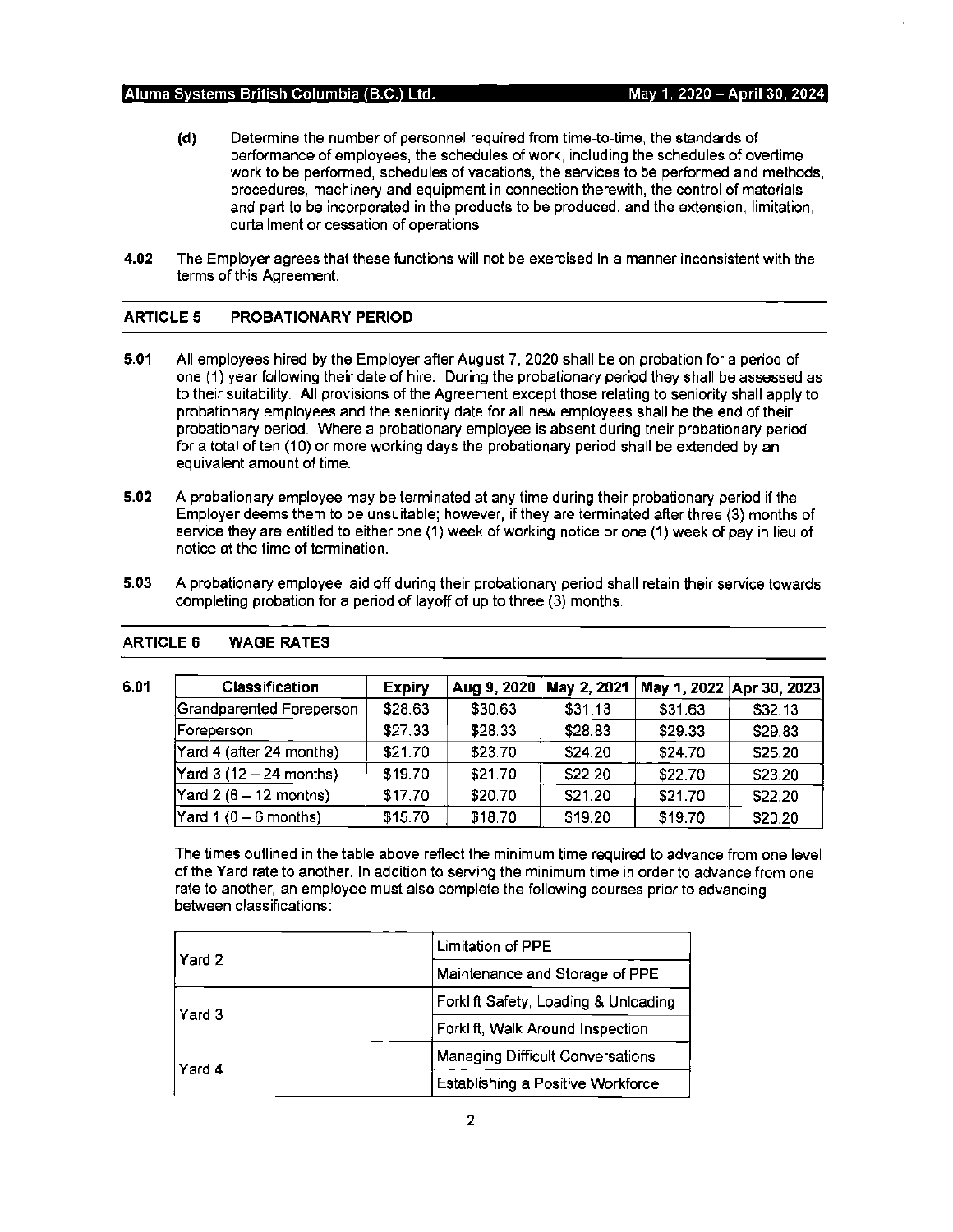- (d) Determine the number of personnel required from time-to-time, the standards of performance of employees, the schedules of work, including the schedules of overtime work to be performed, schedules of vacations, the services to be performed and methods, procedures, machinery and equipment in connection therewith, the control of materials and part to be incorporated in the products to be produced, and the extension, limitation, curtailment or cessation of operations.
- **4.02** The Employer agrees that these functions will not be exercised in a manner inconsistent with the terms of this Agreement.

# **ARTICLES PROBATIONARY PERIOD**

- **5.01** All employees hired by the Employer after August 7, 2020 shall be on probation for a period of one (1) year following their date of hire. During the probationary period they shall be assessed as to their suitability. All provisions of the Agreement except those relating to seniority shall apply to probationary employees and the seniority date for all new employees shall be the end of their probationary period. Where a probationary employee is absent during their probationary period for a total of ten (10) or more working days the probationary period shall be extended by an equivalent amount of time.
- **5.02** A probationary employee may be terminated at any time during their probationary period if the Employer deems them to be unsuitable; however, if they are terminated after three (3) months of service they are entitled to either one (1) week of working notice or one (1) week of pay in lieu of notice at the time of termination.
- **5.03 A** probationary employee laid off during their probationary period shall retain their service towards completing probation for a period of layoff of up to three (3) months.

| 6.01 | <b>Classification</b>                      | <b>Expiry</b> | Aug 9, 2020 | May 2, 2021 |         | May 1, 2022 Apr 30, 2023 |
|------|--------------------------------------------|---------------|-------------|-------------|---------|--------------------------|
|      | Grandparented Foreperson                   | \$28.63       | \$30.63     | \$31.13     | \$31.63 | \$32.13                  |
|      | Foreperson                                 | \$27.33       | \$28.33     | \$28.83     | \$29.33 | \$29.83                  |
|      | Yard 4 (after 24 months)                   | \$21.70       | \$23.70     | \$24.20     | \$24.70 | \$25.20                  |
|      | $\textsf{Yard} 3 (12 - 24 \text{ months})$ | \$19.70       | \$21.70     | \$22.20     | \$22.70 | \$23.20                  |
|      | Yard $2(6-12$ months)                      | \$17.70       | \$20.70     | \$21.20     | \$21.70 | \$22.20                  |
|      | Yard $1(0 - 6$ months)                     | \$15.70       | \$18.70     | \$19.20     | \$19.70 | \$20.20                  |

# **ARTICLE 6 WAGE RATES**

The times outlined in the table above reflect the minimum time required to advance from one level of the Yard rate to another. In addition to serving the minimum time in order to advance from one rate to another, an employee must also complete the following courses prior to advancing between classifications:

| l Yard 2 | Limitation of PPE                    |  |
|----------|--------------------------------------|--|
|          | Maintenance and Storage of PPE       |  |
| l Yard 3 | Forklift Safety, Loading & Unloading |  |
|          | Forklift, Walk Around Inspection     |  |
| l Yard 4 | Managing Difficult Conversations     |  |
|          | Establishing a Positive Workforce    |  |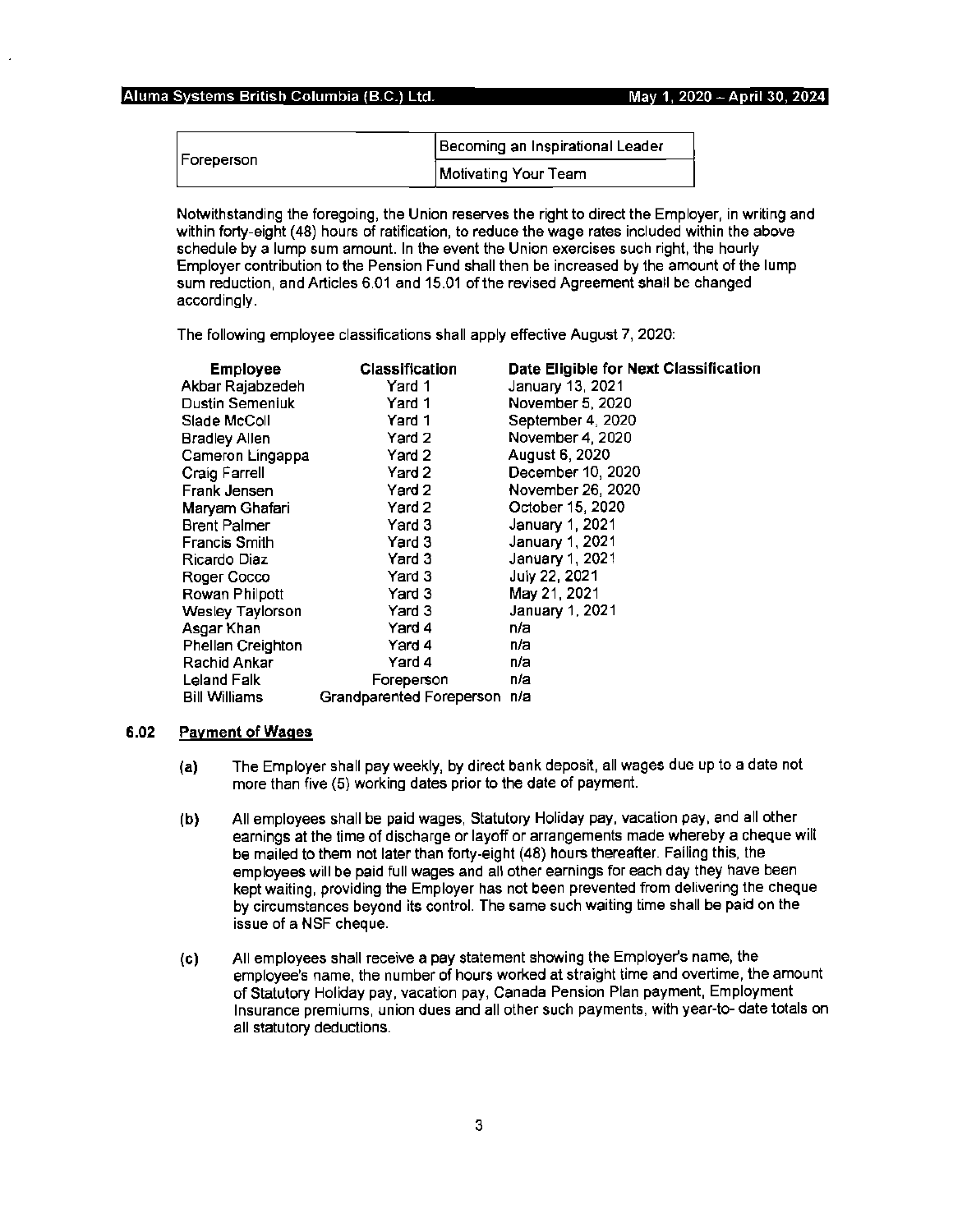| Foreperson | Becoming an Inspirational Leader |
|------------|----------------------------------|
|            | Motivating Your Team             |

Notwithstanding the foregoing, the Union reserves the right to direct the Employer, in writing and within forty-eight (48) hours of ratification, to reduce the wage rates included within the above schedule by a lump sum amount. In the event the Union exercises such right, the hourly Employer contribution to the Pension Fund shall then be increased by the amount of the lump sum reduction, and Articles 6.01 and 15.01 of the revised Agreement shall be changed accordingly.

The following employee classifications shall apply effective August 7, 2020:

| <b>Employee</b>      | <b>Classification</b>        | Date Eligible for Next Classification |
|----------------------|------------------------------|---------------------------------------|
| Akbar Rajabzedeh     | Yard 1                       | January 13, 2021                      |
| Dustin Semeniuk      | Yard 1                       | November 5, 2020                      |
| Slade McColl         | Yard 1                       | September 4, 2020                     |
| <b>Bradley Allen</b> | Yard 2                       | November 4, 2020                      |
| Cameron Lingappa     | Yard 2                       | August 6, 2020                        |
| Craig Farrell        | Yard 2                       | December 10, 2020                     |
| Frank Jensen         | Yard 2                       | November 26, 2020                     |
| Maryam Ghafari       | Yard 2                       | October 15, 2020                      |
| <b>Brent Palmer</b>  | Yard 3                       | January 1, 2021                       |
| <b>Francis Smith</b> | Yard 3                       | January 1, 2021                       |
| Ricardo Diaz         | Yard 3                       | January 1, 2021                       |
| Roger Cocco          | Yard 3                       | July 22, 2021                         |
| Rowan Philpott       | Yard 3                       | May 21, 2021                          |
| Wesley Taylorson     | Yard 3                       | January 1, 2021                       |
| Asgar Khan           | Yard 4                       | n/a                                   |
| Phellan Creighton    | Yard 4                       | n/a                                   |
| Rachid Ankar         | Yard 4                       | n/a                                   |
| Leland Falk          | Foreperson                   | n/a                                   |
| <b>Bill Williams</b> | Grandparented Foreperson n/a |                                       |

# **6.02 Payment of Wages**

- **(a)** The Employer shall pay weekly, by direct bank deposit, all wages due up to a date not more than five (5) working dates prior to the date of payment.
- **(b)** All employees shall be paid wages, Statutory Holiday pay, vacation pay, and all other earnings at the time of discharge or layoff or arrangements made whereby a cheque will be mailed to them not later than forty-eight (48) hours thereafter. Failing this, the employees will be paid full wages and all other earnings for each day they have been kept waiting, providing the Employer has not been prevented from delivering the cheque by circumstances beyond its control. The same such waiting time shall be paid on the issue of a NSF cheque.
- (c) All employees shall receive a pay statement showing the Employer's name, the employee's name, the number of hours worked at straight time and overtime, the amount of Statutory Holiday pay, vacation pay, Canada Pension Plan payment, Employment Insurance premiums, union dues and all other such payments, with year-to- date totals on all statutory deductions.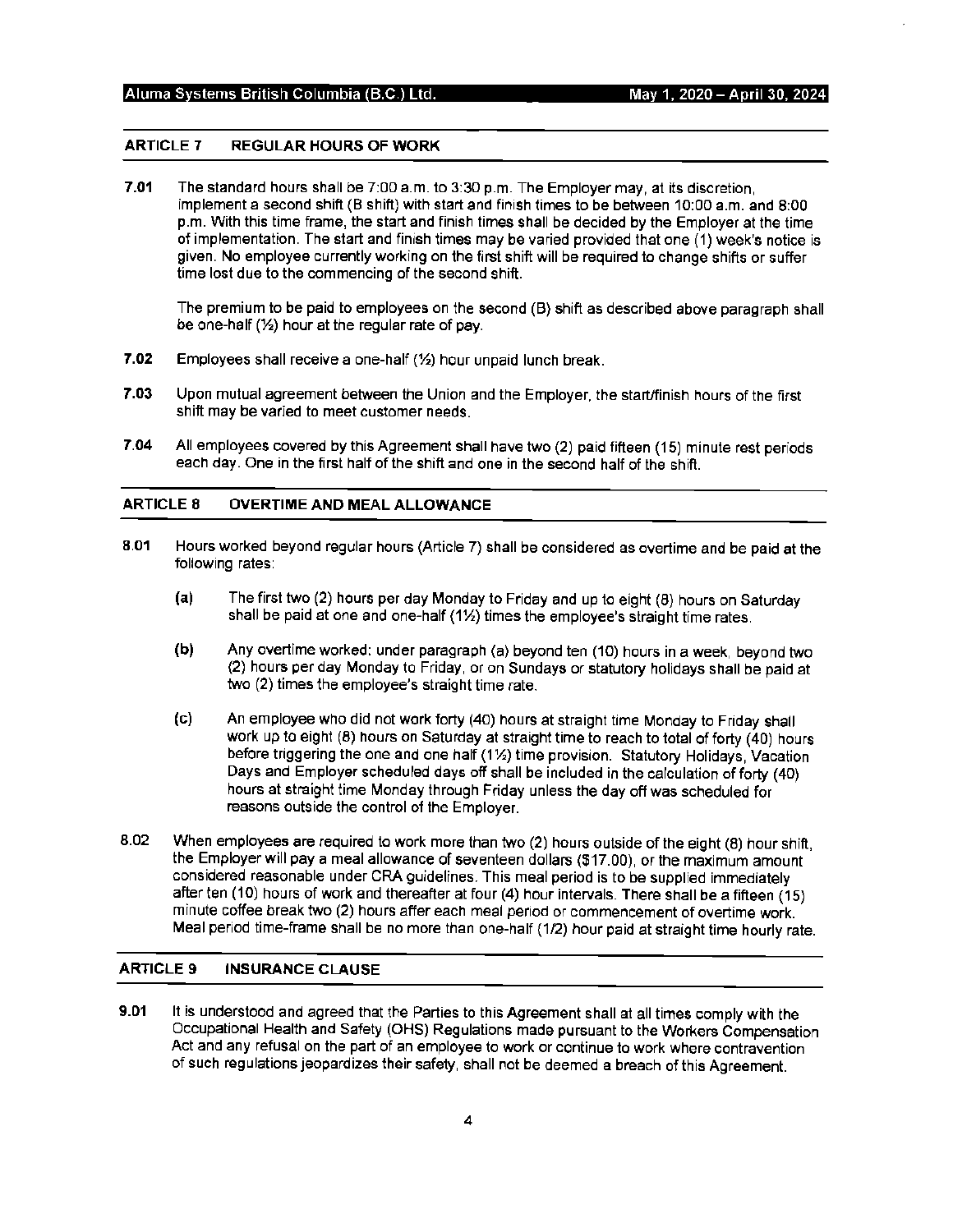# **ARTICLE 7 REGULAR HOURS OF WORK**

**7.01** The standard hours shall be 7:00 a.m. to 3:30 p.m. The Employer may, at its discretion, implement a second shift (B shift) with start and finish times to be between 10:00 a.m. and 8:00 p.m. With this time frame, the start and finish times shall be decided by the Employer at the time of implementation. The start and finish times may be varied provided that one (1) week's notice is given. No employee currently working on the first shift will be required to change shifts or suffer time lost due to the commencing of the second shift.

The premium to be paid to employees on the second (B) shift as described above paragraph shall be one-half(½) hour at the regular rate of pay.

- **7.02** Employees shall receive a one-half(½) hour unpaid lunch break.
- **7.03** Upon mutual agreement between the Union and the Employer, the start/finish hours of the first shift may be varied to meet customer needs.
- **7.04** All employees covered by this Agreement shall have two (2) paid fifteen (15) minute rest periods each day. One in the first half of the shift and one in the second half of the shift.

# **ARTICLE 8 OVERTIME AND MEAL ALLOWANCE:**

- **8.01** Hours worked beyond regular hours (Article 7) shall be considered as overtime and be paid at the following rates:
	- **(a)** The first two (2) hours per day Monday to Friday and up to eight (8) hours on Saturday shall be paid at one and one-half (1½) times the employee's straight time rates.
	- **(b)** Any overtime worked: under paragraph (a) beyond ten (10) hours in a week, beyond two {2) hours per day Monday to Friday, or on Sundays or statutory holidays shall be paid at two (2) times the employee's straight time rate.
	- (c) An employee who did not work forty (40) hours at straight time Monday to Friday shall work up to eight (8) hours on Saturday at straight time to reach to total of forty (40) hours before triggering the one and one half (11/2) time provision. Statutory Holidays, Vacation Days and Employer scheduled days off shall be included in the calculation of forty (40) hours at straight time Monday through Friday unless the day off was scheduled for reasons outside the control of the Employer.
- 8.02 When employees are required to work more than two (2) hours outside of the eight (8) hour shift, the Employer will pay a meal allowance of seventeen dollars (\$17.00), or the maximum amount considered reasonable under CRA guidelines. This meal period is to be supplied immediately after ten (10) hours of work and thereafter at four (4) hour intervals. There shall be a fifteen {15) minute coffee break two (2) hours after each meal period or commencement of overtime work. Meal period time-frame shall be no more than one-half (1/2) hour paid at straight time hourly rate.

# **ARTICLE 9 INSURANCE CLAUSE**

**9.01** It is understood and agreed that the Parties to this Agreement shall at all times comply with the Occupational Health and Safety (OHS) Regulations made pursuant to the Workers Compensation Act and any refusal on the part of an employee to work or continue to work where contravention of such regulations jeopardizes their safety, shall not be deemed a breach of this Agreement.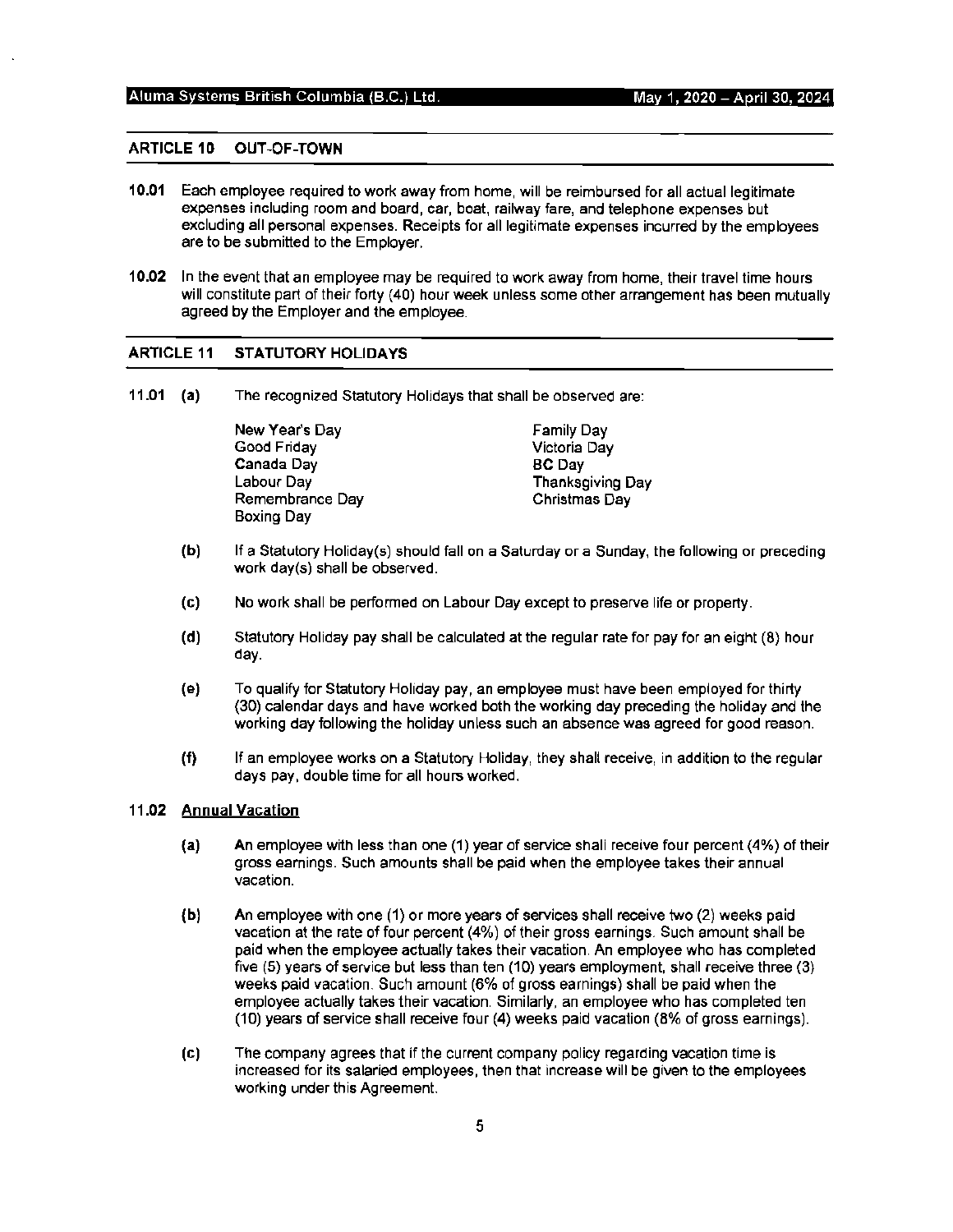# Aluma Systems British Columbia (B.C.) Ltd.

. May 1, 2020 - **A** ril 30, 2024

#### **ARTICLE 10 OUT-OF-TOWN**

- **10.01** Each employee required to work away from home, will be reimbursed for all actual legitimate expenses including room and board, car, boat, railway fare, and telephone expenses but excluding all personal expenses. Receipts for all legitimate expenses incurred by the employees are to be submitted to the Employer.
- **10.02** In the event that an employee may be required to work away from home, their travel time hours will constitute part of their forty (40) hour week unless some other arrangement has been mutually agreed by the Employer and the employee.

#### **ARTICLE 11 STATUTORY HOLIDAYS**

**11.01 (a)** The recognized Statutory Holidays that shall be observed are:

New Year's Day Good Friday Canada Day Labour Day Remembrance Day Boxing Day Family Day Victoria Day BC Day Thanksgiving Day Christmas Day

- **(b)** If a Statutory Holiday(s) should fall on a Saturday or a Sunday, the following or preceding work day(s) shall be observed.
- (c) No work shall be performed on Labour Day except to preserve life or property.
- **(d)** Statutory Holiday pay shall be calculated at the regular rate for pay for an eight (8) hour day.
- **(e)** To qualify for Statutory Holiday pay, an employee must have been employed for thirty (30) calendar days and have worked both the working day preceding the holiday and the working day following the holiday unless such an absence was agreed for good reason.
- **(f)** If an employee works on a Statutory Holiday, they shall receive, in addition to the regular days pay, double time for all hours worked.

#### **11.02 Annual Vacation**

- (a) An employee with less than one (1) year of service shall receive four percent (4%) of their gross earnings. Such amounts shall be paid when the employee takes their annual vacation.
- **(b)** An employee with one (1) or more years of services shall receive two (2) weeks paid vacation at the rate of four percent (4%) of their gross earnings. Such amount shall be paid when the employee actually takes their vacation. An employee who has completed five (5) years of service but less than ten (10) years employment, shall receive three (3) weeks paid vacation. Such amount (6% of gross earnings) shall be paid when the employee actually takes their vacation. Similarly, an employee who has completed ten (10) years of service shall receive four (4) weeks paid vacation (8% of gross earnings).
- (c) The company agrees that if the current company policy regarding vacation time is increased for its salaried employees, then that increase will be given to the employees working under this Agreement.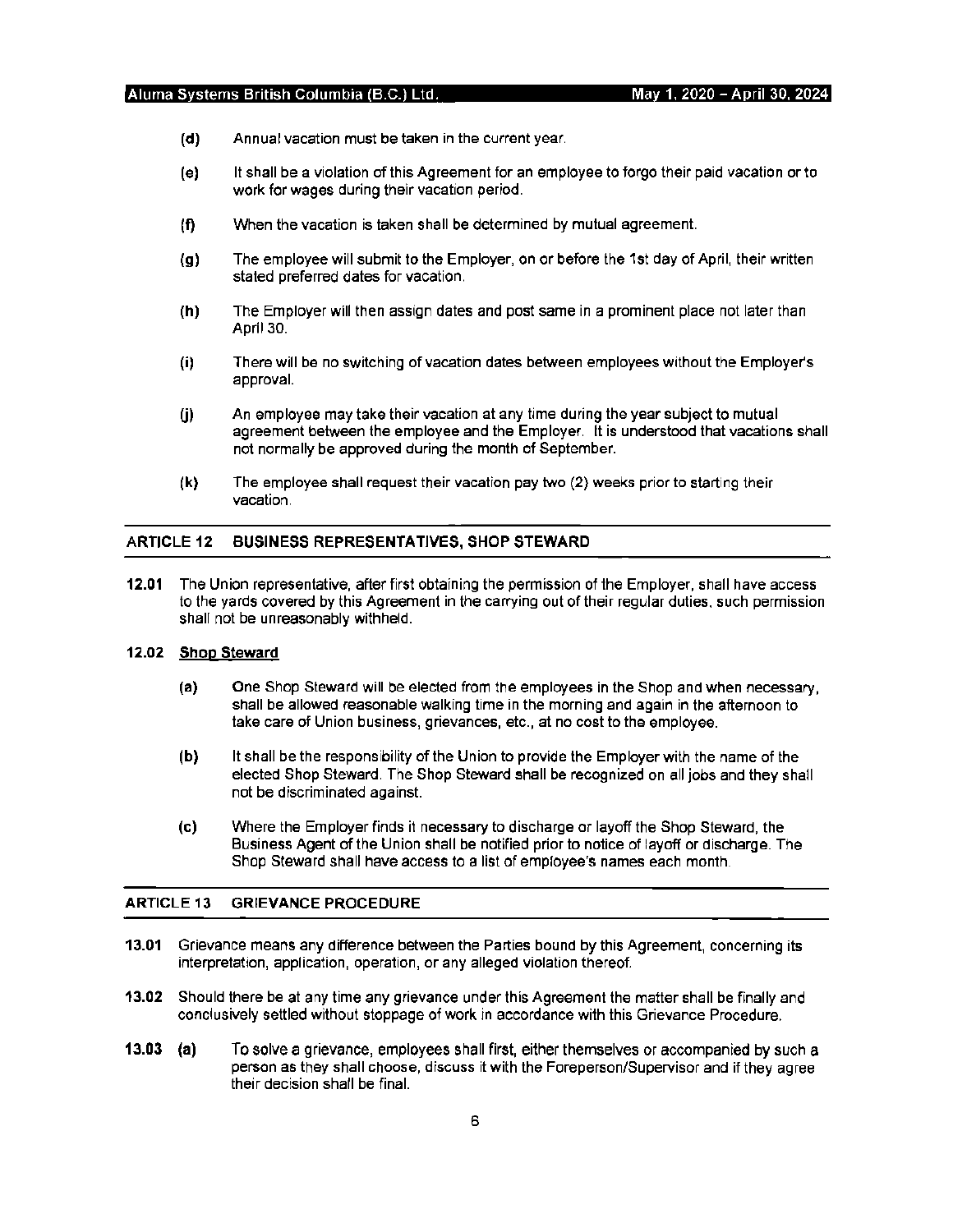- **(d)** Annual vacation must be taken in the current year.
- **(e)** It shall be a violation of this Agreement for an employee to forgo their paid vacation or to work for wages during their vacation period.
- **(f)** When the vacation is taken shall be determined by mutual agreement.
- **(g)** The employee will submit to the Employer, on or before the 1 st day of April, their written stated preferred dates for vacation.
- **(h)** The Employer will then assign dates and post same in a prominent place not later than April 30.
- **(i)** There will be no switching of vacation dates between employees without the Employer's approval.
- (j) An employee may take their vacation at any time during the year subject to mutual agreement between the employee and the Employer. It is understood that vacations shall not normally be approved during the month of September.
- **(k)** The employee shall request their vacation pay two (2} weeks prior to starting their vacation.

# **ARTICLE 12 BUSINESS REPRESENTATIVES, SHOP STEWARD**

**12.01** The Union representative, after first obtaining the permission of the Employer, shall have access to the yards covered by this Agreement in the carrying out of their regular duties, such permission shall not be unreasonably withheld.

# **12.02 Shop Steward**

- **(a)** One Shop Steward will be elected from the employees in the Shop and when necessary, shall be allowed reasonable walking time in the morning and again in the afternoon to take care of Union business, grievances, etc., at no cost to the employee.
- **(b)** It shall be the responsibility of the Union to provide the Employer with the name of the elected Shop Steward. The Shop Steward shall be recognized on all jobs and they shall not be discriminated against.
- **(c)** Where the Employer finds it necessary to discharge or layoff the Shop Steward, the Business Agent of the Union shall be notified prior to notice of layoff or discharge. The Shop Steward shall have access to a list of employee's names each month.

### **ARTICLE 13 GRIEVANCE PROCEDURE**

- **13.01** Grievance means any difference between the Parties bound by this Agreement, concerning its interpretation, application, operation, or any alleged violation thereof.
- **13.02** Should there be at any time any grievance under this Agreement the matter shall be finally and conclusively settled without stoppage of work in accordance with this Grievance Procedure.
- **13.03 (a)** To solve a grievance, employees shall first, either themselves or accompanied by such a person as they shall choose, discuss it with the Foreperson/Supervisor and if they agree their decision shall be final.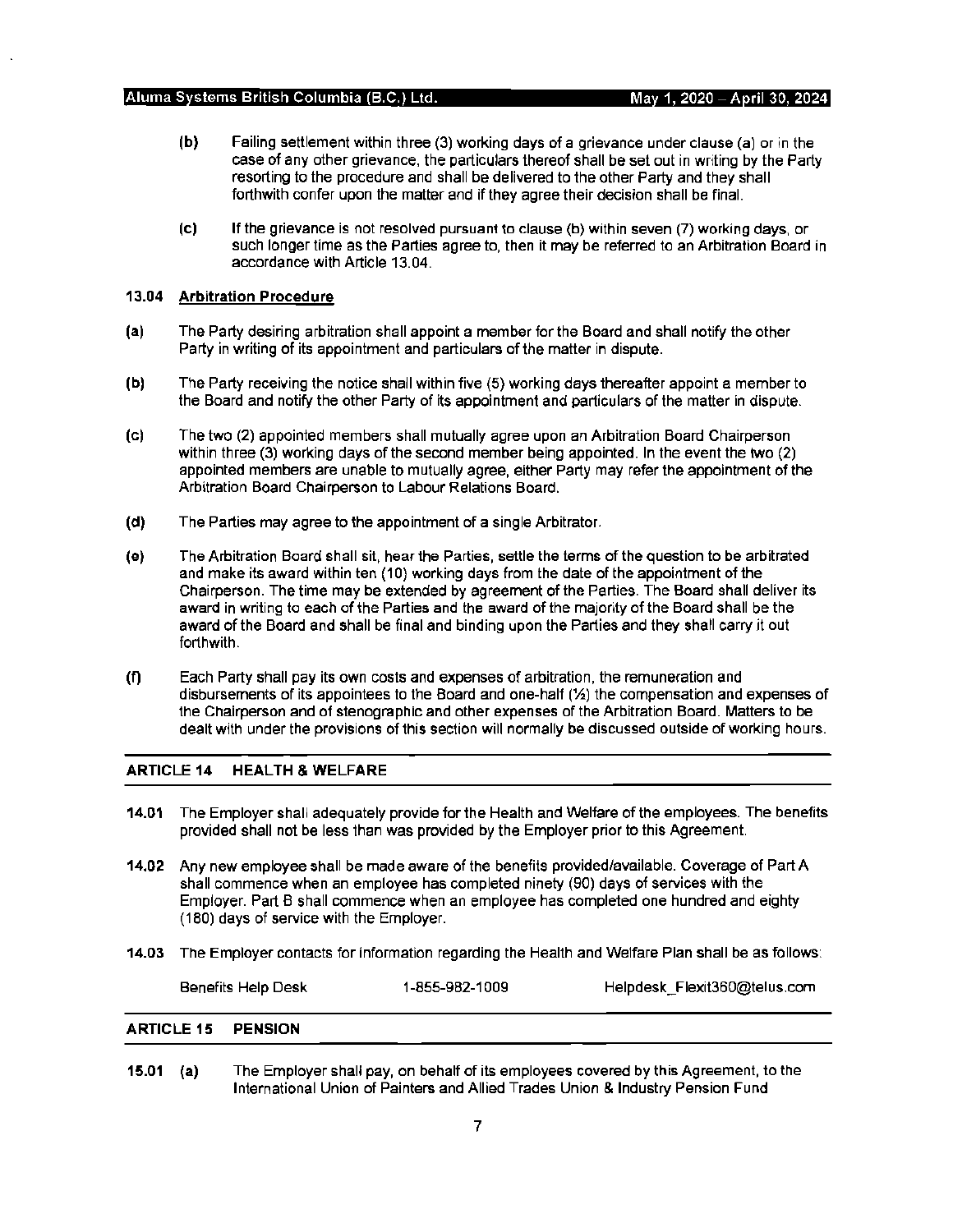- **(b)** Failing settlement within three (3) working days of a grievance under clause (a) or in the case of any other grievance, the particulars thereof shall be set out in writing by the Party resorting to the procedure and shall be delivered to 1he other Party and they shall forthwith confer upon the matter and if they agree their decision shall be final.
- (c) If the grievance is not resolved pursuant to clause (b) within seven (7) working days, or such longer time as the Parties agree to, then it may be referred to an Arbitration Board in accordance with Article 13.04.

## **13.04 Arbitration Procedure**

- **(a)** The Party desiring arbitration shall appoint a member for the Board and shall notify the other Party in writing of its appointment and particulars of the matter in dispute.
- **(b)** The Party receiving the notice shall within five (5) working days thereafter appoint a member to the Board and notify the other Party of its appointment and particulars of the matter in dispute.
- (c) The two (2) appointed members shall mutually agree upon an Arbitration Board Chairperson within three (3) working days of the second member being appointed. In the event the two (2) appointed members are unable to mutually agree, either Party may refer the appointment of the Arbitration Board Chairperson to Labour Relations Board.
- **(d)** The Parties may agree to the appointment of a single Arbitrator.
- (e) The Arbitration Board shall sit, hear the Parties, settle the terms of the question to be arbitrated and make its award within ten (10) working days from the date of the appointment of the Chairperson. The time may be extended by agreement of the Parties. The Board shall deliver its award in writing to each of the Parties and the award of the majority of the Board shall be the award of the Board and shall be final and binding upon the Parties and they shall carry it out forthwith.
- **(f)** Each Party shall pay its own costs and expenses of arbitration, the remuneration and disbursements of its appointees to the Board and one-half (½) the compensation and expenses of the Chairperson and of stenographic and other expenses of the Arbitration Board. Matters to be dealt with under the provisions of this section will normally be discussed outside of working hours.

# **ARTICLE 14 HEALTH & WELFARE**

- **14.01** The Employer shall adequately provide for 1he Health and Welfare of the employees. The benefits provided shall not be less than was provided by the Employer prior to this Agreement.
- **14.02** Any new employee shall be made aware of the benefits provided/available. Coverage of Part A shall commence when an employee has completed ninety (90) days of services with the Employer. Part B shall commence when an employee has completed one hundred and eighty (180) days of service with the Employer.
- **14.03** The Employer contacts for information regarding the Health and Welfare Plan shall be as follows:

| Benefits Help Desk | 1-855-982-1009 | Helpdesk_Flexit360@telus.com |
|--------------------|----------------|------------------------------|
|                    |                |                              |

#### **ARTICLE 15 PENSION**

**15.01 (a)** The Employer shall pay, on behalf of its employees covered by this Agreement, to the International Union of Painters and Allied Trades Union & Industry Pension Fund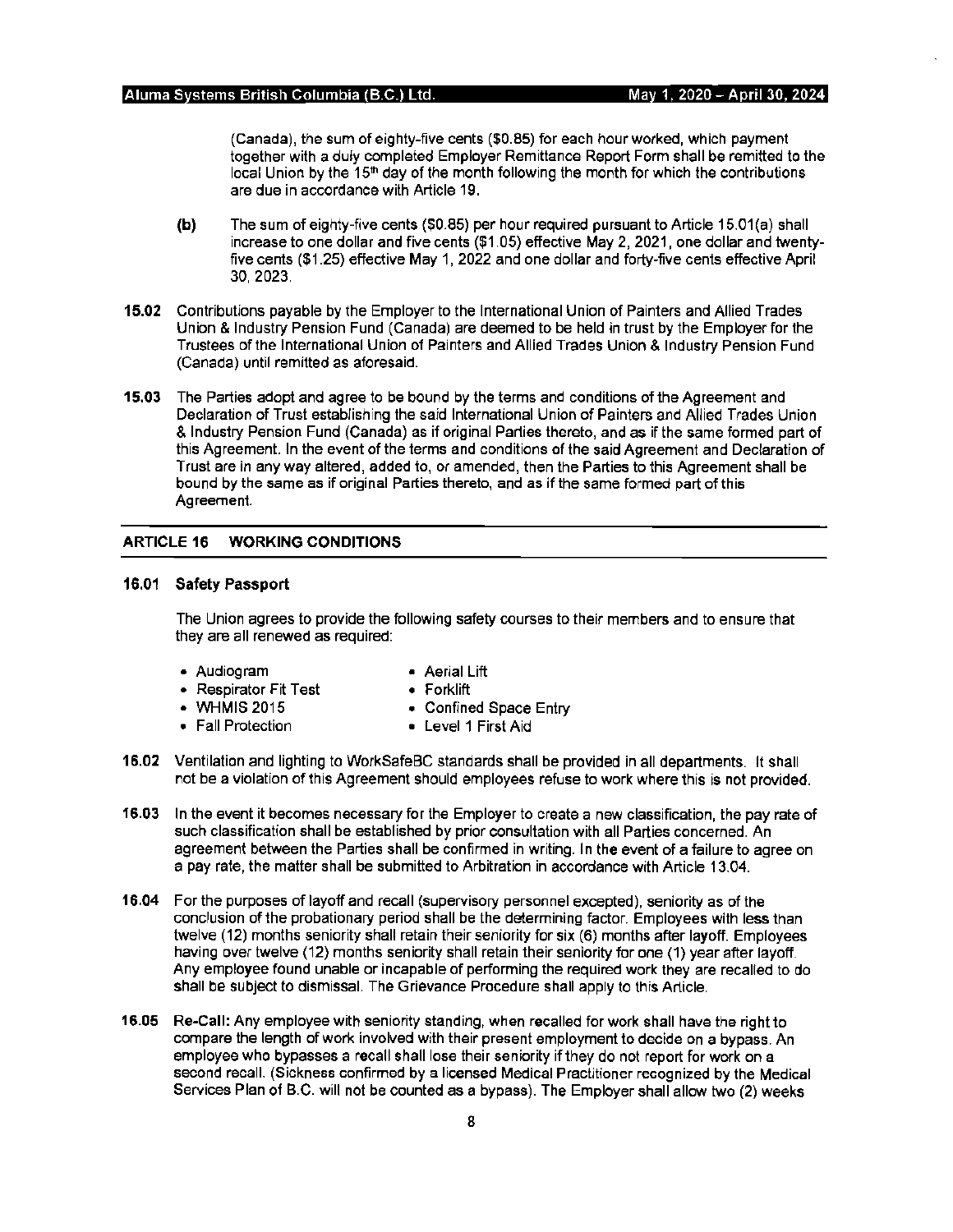(Canada), the sum of eighty-five cents (\$0. 85) for each hour worked, which payment together with a duly completed Employer Remittance Report Form shall be remitted to the local Union by the 15<sup>th</sup> day of the month following the month for which the contributions are due in accordance with Article 19.

- **(b)** The sum of eighty-five cents (\$0.85) per hour required pursuant to Article 15.01 (a) shall increase to one dollar and five cents (\$1.05) effective May 2, 2021, one dollar and twentyfive cents (\$1.25) effective May 1, 2022 and one dollar and forty-five cents effective April 30, 2023.
- **15.02** Contributions payable by the Employer to the International Union of Painters and Allied Trades Union & Industry Pension Fund (Canada) are deemed to be held in trust by the Employer for the Trustees of the International Union of Painters and Allied Trades Union & Industry Pension Fund (Canada) until remitted as aforesaid.
- **15.03** The Parties adopt and agree to be bound by the terms and conditions of the Agreement and Declaration of Trust establishing the said International Union of Painters and Allied Trades Union & Industry Pension Fund (Canada) as if original Parties thereto, and as if the same formed part of this Agreement. In the event of the terms and conditions of the said Agreement and Declaration of Trust are in any way altered, added to, or amended, then the Parties to this Agreement shall be bound by the same as if original Parties thereto, and as if the same formed part of this Agreement

# **ARTICLE 16 WORKING CONDITIONS**

## **16.01 Safety Passport**

The Union agrees to provide the following safety courses to their members and to ensure that they are all renewed as required:

- Audiogram Aerial Lift
	-
- Respirator Fit Test Forklift
- **WHMIS** 2015 Confined Space Entry
- Fall Protection Level 1 First Aid
- -
- **16.02** Ventilation and lighting to WorkSafeBC standards shall be provided in all departments. It shall not be a violation of this Agreement should employees refuse to work where this is not provided.
- **16.03** In the event it becomes necessary for the Employer to create a new classification, the pay rate of such classification shall be established by prior consultation with all Parties concerned. An agreement between the Parties shall be confirmed in writing. In the event of a failure to agree on a pay rate, the matter shall be submitted to Arbitration in accordance with Article 13.04.
- **16.04** For the purposes of layoff and recall (supervisory personnel excepted), seniority as of the conclusion of the probationary period shall be the determining factor. Employees with less than twelve (12) months seniority shall retain their seniority for six (6) months after layoff. Employees having over twelve (12) months seniority shall retain their seniority for one (1) year after layoff. Any employee found unable or incapable of performing the required work they are recalled to do shall be subject to dismissal. The Grievance Procedure shall apply to this Article.
- **16.05 Re-Call:** Any employee with seniority standing, when recalled for work shall have the right to compare the length of work involved with their present employment to decide on a bypass. An employee who bypasses a recall shall lose their seniority if they do not report for work on a second recall. (Sickness confirmed by a licensed Medical Practitioner recognized by the Medical Services Plan of B.C. will not be counted as a bypass). The Employer shall allow two (2) weeks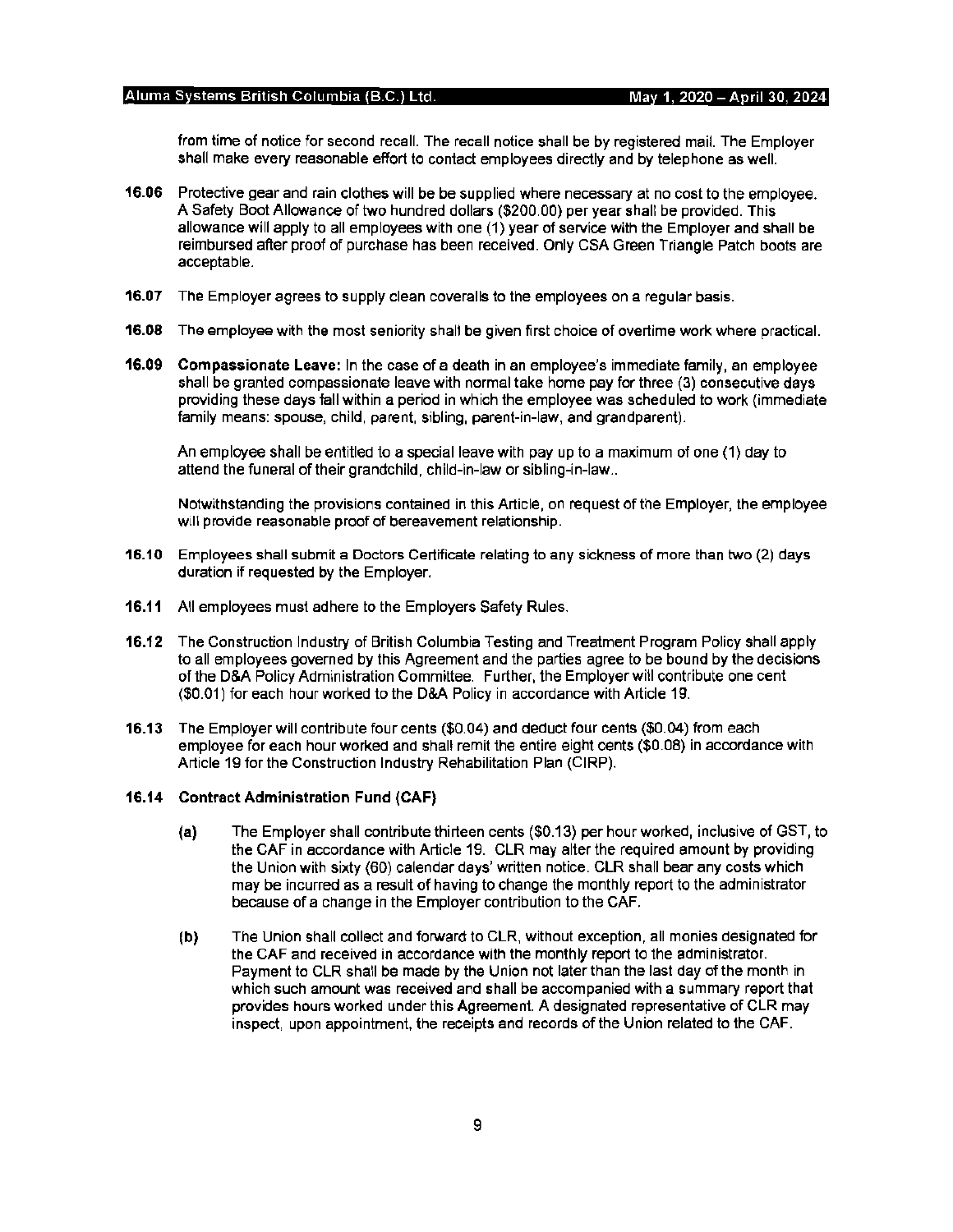from time of notice for second recall. The recall notice shall be by registered mail. The Employer shall make every reasonable effort to contact employees directly and by telephone as well.

- **16.06** Protective gear and rain clothes will be be supplied where necessary at no cost to the employee. A Safety Boot Allowance of two hundred dollars (\$200.00) per year shall be provided. This allowance will apply to all employees with one (1) year of service with the Employer and shall be reimbursed after proof of purchase has been received. Only CSA Green Triangle Patch boots are acceptable.
- **16.07** The Employer agrees to supply clean coveralls to the employees on a regular basis.
- **16.08** The employee with the most seniority shall be given first choice of overtime work where practical.
- **16.09 Compassionate Leave:** In the case of a death in an employee's immediate family, an employee shall be granted compassionate leave with normal take home pay for three (3) consecutive days providing these days fall within a period in which the employee was scheduled to work {immediate family means: spouse, child, parent, sibling, parent-in-law, and grandparent).

An employee shall be entitled to a special leave with pay up to a maximum of one {1) day to attend the funeral of their grandchild, child-in-law or sibling-in-law ..

Notwithstanding the provisions contained in this Article, on request of the Employer, the employee will provide reasonable proof of bereavement relationship.

- **16.10** Employees shall submit a Doctors Certificate relating to any sickness of more than two (2) days duration if requested by the Employer.
- 16.11 All employees must adhere to the Employers Safety Rules.
- **16.12** The Construction Industry of British Columbia Testing and Treatment Program Policy shall apply to all employees governed by this Agreement and the parties agree to be bound by the decisions of the D&A Policy Administration Committee. Further, the Employer will contribute one cent (\$0.01) for each hour worked to the D&A Policy in accordance with Article 19.
- **16.13** The Employer will contribute four cents (\$0.04) and deduct four cents (\$0.04) from each employee for each hour worked and shall remit the entire eight cents (\$0.08) in accordance with Article 19 for the Construction Industry Rehabilitation Plan {CIRP).

### **16.14 Contract Administration Fund (CAF)**

- **(a)** The Employer shall contribute thirteen cents (\$0.13) per hour worked, inclusive of GST, to the GAF in accordance with Article 19. CLR may alter the required amount by providing the Union with sixty (60) calendar days' written notice. CLR shall bear any costs which may be incurred as a result of having to change the monthly report to the administrator because of a change in the Employer contribution to the CAF.
- **(b)** The Union shall collect and forward to CLR, without exception, all monies designated for the CAF and received in accordance with the monthly report to the administrator. Payment to CLR shall be made by the Union not later than the last day of the month in which such amount was received and shall be accompanied with a summary report that provides hours worked under this Agreement. A designated representative of CLR may inspect, upon appointment, the receipts and records of the Union related to the CAF.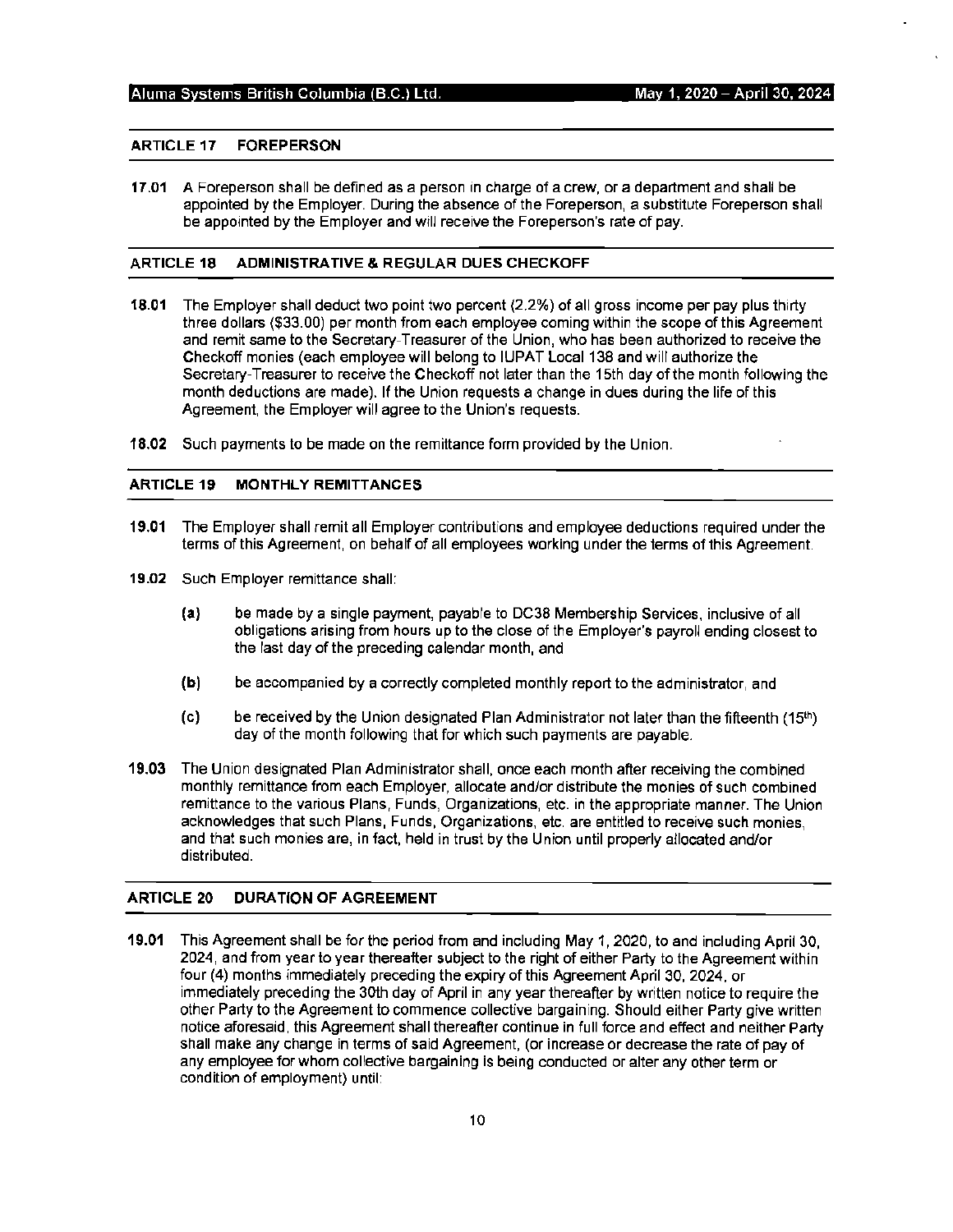# **ARTICLE 17 FOREPERSON**

**17 .01 A** Foreperson shall be defined as a person in charge of a crew, or a department and shall be appointed by the Employer. During the absence of the Foreperson, a substitute Foreperson shall be appointed by the Employer and will receive the Foreperson's rate of pay.

### **ARTICLE 18 ADMINISTRATIVE & REGULAR DUES CHECKOFF**

- **18.01** The Employer shall deduct two point two percent (2.2%) of all gross income per pay plus thirty three dollars (\$33.00) per month from each employee coming within the scope of this Agreement and remit same to the Secretary-Treasurer of the Union, who has been authorized to receive the Checkoff monies (each employee will belong to IUPAT Local 138 and will authorize the Secretary-Treasurer to receive the Checkoff not later than the 15th day of the month following the month deductions are made). If the Union requests a change in dues during the life of this Agreement, the Employer will agree to the Union's requests.
- **18.02** Such payments to be made on the remittance form provided by the Union.

# **ARTICLE 19 MONTHLY REMITTANCES**

- **19.01** The Employer shall remit all Employer contributions and employee deductions required under the terms of this Agreement, on behalf of all employees working under the terms of this Agreement.
- **19.02** Such Employer remittance shall:
	- **(a)** be made by a single payment, payable to DC38 Membership Services, inclusive of all obligations arising from hours up to the close of the Employer's payroll ending closest to the last day of the preceding calendar month, and
	- **(b)** be accompanied by a correctly completed monthly report to the administrator, and
	- (c) be received by the Union designated Plan Administrator not later than the fifteenth  $(15<sup>th</sup>)$ day of the month following that for which such payments are payable.
- **19.03** The Union designated Plan Administrator shall, once each month after receiving the combined monthly remittance from each Employer, allocate and/or distribute the monies of such combined remittance to the various Plans, Funds, Organizations, etc. in the appropriate manner. The Union acknowledges that such Plans, Funds, Organizations, etc. are entitled to receive such monies, and that such monies are, in fact, held in trust by the Union until properly allocated and/or distributed.

# **ARTICLE 20 DURATION OF AGREEMENT**

**19.01** This Agreement shall be for the period from and including May 1, 2020, to and including April 30, 2024, and from year to year thereafter subject to the right of either Party to the Agreement within four (4) months immediately preceding the expiry of this Agreement April 30, 2024, or immediately preceding the 30th day of April in any year thereafter by written notice to require the other Party to the Agreement to commence collective bargaining. Should either Party give written notice aforesaid, this Agreement shall thereafter continue in full force and effect and neither Party shall make any change in terms of said Agreement, (or increase or decrease the rate of pay of any employee for whom collective bargaining is being conducted or alter any other term or condition of employment) until: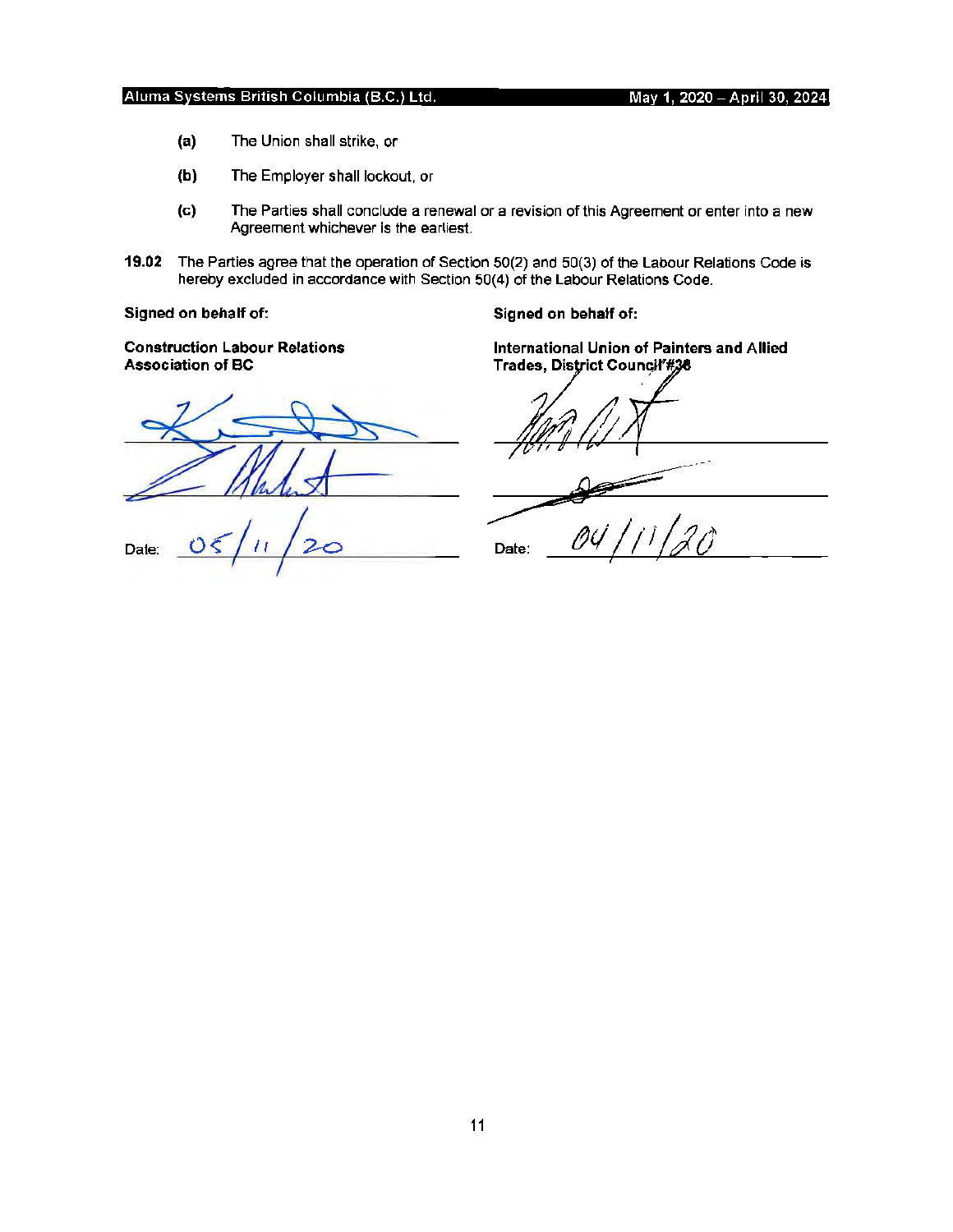- **(a)** The Union shall strike, or
- **(b)** The Employer shall lockout, or
- (c) The Parties shall conclude a renewal or a revision of this Agreement or enter into a new Agreement whichever is the earliest.
- **19.02** The Parties agree that the operation of Section 50(2) and 50(3) of the Labour Relations Code is hereby excluded in accordance with Section 50(4) of the Labour Relations Code.

**Signed on behalf of:** 

**Signed on behalf of:** 

**Construction Labour Relations Association of BC** 

Date:

**International Union of Painters and Allied Trades,** 

Date:  $\qquad \qquad$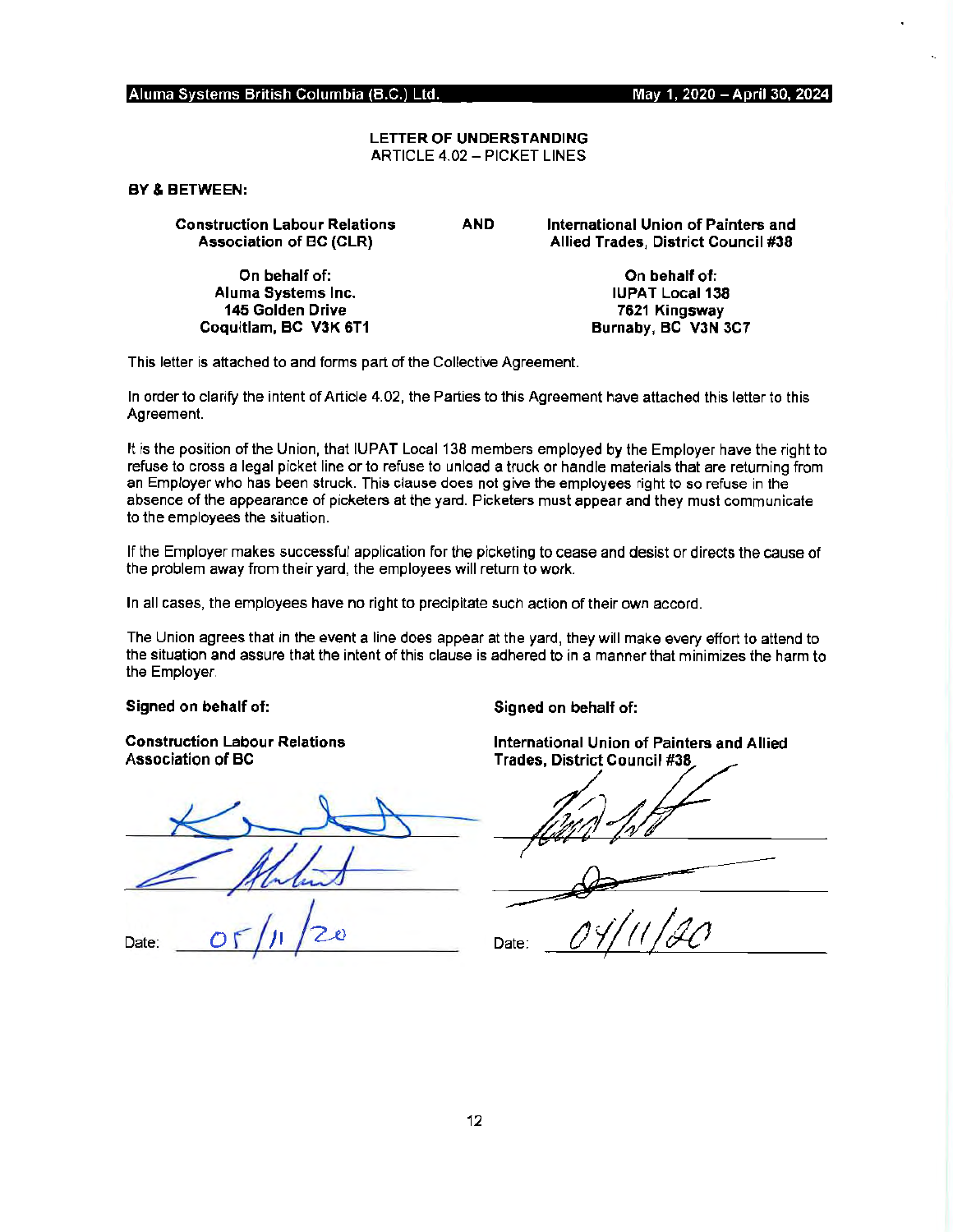# LETTER OF **UNDERSTANDING**  ARTICLE 4.02 - PICKET LINES

**BY** & BETWEEN:

Construction Labour Relations Association of BC (CLR)

> On behalf of: Aluma Systems Inc. 145 Golden Drive Coquitlam, **BC V3K** 6T1

**AND International Union of Painters and Allied Trades, District Council #38** 

> **On behalf of: IUPAT Local 138 7621 Kingsway Burnaby, BC V3N 3C7**

This letter is attached to and forms part of the Collective Agreement.

In order to clarify the intent of Article 4.02, the Parties to this Agreement have attached this letter to this Agreement.

It is the position of the Union, that IUPAT Local 138 members employed by the Employer have the right to refuse to cross a legal picket line or to refuse to unload a truck or handle materials that are returning from an Employer who has been struck. This clause does not give the employees right to so refuse in the absence of the appearance of picketers at the yard. Picketers must appear and they must communicate to the employees the situation.

If the Employer makes successful application for the picketing to cease and desist or directs the cause of the problem away from their yard, the employees will return to work.

In all cases, the employees have no right to precipitate such action of their own accord.

The Union agrees that in the event a line does appear at the yard, they will make every effort to attend to the situation and assure that the intent of this clause is adhered to in a manner that minimizes the harm to the Employer.

**Signed on behalf of:** 

**Construction Labour Relations Association of BC** 

Date:

Signed on behalf of:

International Union of Painters and Allied

Trade~

Date: